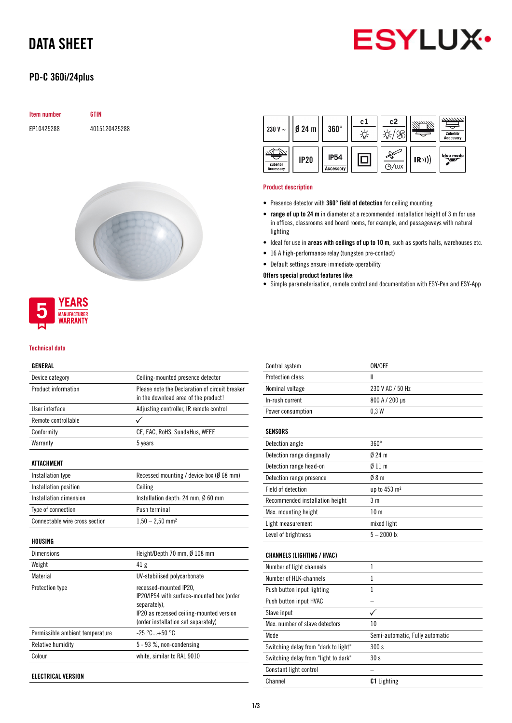# DATA SHEET



## PD-C 360i/24plus

| <b>Item number</b> | <b>GTIN</b>   |
|--------------------|---------------|
| EP10425288         | 4015120425288 |





#### Technical data

#### GENERAL

| Device category                | Ceiling-mounted presence detector                                                      |
|--------------------------------|----------------------------------------------------------------------------------------|
| Product information            | Please note the Declaration of circuit breaker<br>in the download area of the product! |
| User interface                 | Adjusting controller, IR remote control                                                |
| Remote controllable            |                                                                                        |
| Conformity                     | CE, EAC, RoHS, SundaHus, WEEE                                                          |
| Warranty                       | 5 years                                                                                |
| ATTACHMENT                     |                                                                                        |
| Installation type              | Recessed mounting / device box ( $\emptyset$ 68 mm)                                    |
| Installation position          | Ceiling                                                                                |
| Installation dimension         | Installation depth: 24 mm, $\emptyset$ 60 mm                                           |
| Type of connection             | Push terminal                                                                          |
| Connectable wire cross section | $1,50 - 2,50$ mm <sup>2</sup>                                                          |
| HOUSING                        |                                                                                        |
| <b>Dimensions</b>              | Height/Depth 70 mm, Ø 108 mm                                                           |
| Weight                         | 41 <sub>g</sub>                                                                        |
| Material                       | UV-stabilised polycarbonate                                                            |
| <b>Protection type</b>         | recessed-mounted IP20,<br>IP20/IP54 with surface-mounted box (order                    |

|                                 | separately).<br>IP20 as recessed ceiling-mounted version<br>(order installation set separately) |
|---------------------------------|-------------------------------------------------------------------------------------------------|
| Permissible ambient temperature | $-25\,^{\circ}\mathrm{C}_{\dots}+50\,^{\circ}\mathrm{C}$                                        |
| Relative humidity               | $5 - 93$ %, non-condensing                                                                      |
| Colour                          | white, similar to RAL 9010                                                                      |

ELECTRICAL VERSION

| 230 V $\sim$                | $Ø$ 24 m    | $360^\circ$                     | c1 | c2      |      | 7777777.<br>Zubehör<br><b>Accessory</b> |
|-----------------------------|-------------|---------------------------------|----|---------|------|-----------------------------------------|
| Zubehör<br><b>Accessory</b> | <b>IP20</b> | <b>IP54</b><br><b>Accessory</b> |    | (P)/LUX | (R)) | blue mode                               |

#### Product description

- Presence detector with 360° field of detection for ceiling mounting
- range of up to 24 m in diameter at a recommended installation height of 3 m for use in offices, classrooms and board rooms, for example, and passageways with natural lighting
- Ideal for use in areas with ceilings of up to 10 m, such as sports halls, warehouses etc.
- 16 A high-performance relay (tungsten pre-contact)
- Default settings ensure immediate operability

### Offers special product features like:

• Simple parameterisation, remote control and documentation with ESY-Pen and ESY-App

| Control system                       | ON/OFF                          |
|--------------------------------------|---------------------------------|
| Protection class                     | Ш                               |
| Nominal voltage                      | 230 V AC / 50 Hz                |
| In-rush current                      | 800 A / 200 µs                  |
| Power consumption                    | 0.3W                            |
|                                      |                                 |
| <b>SENSORS</b>                       |                                 |
| Detection angle                      | $360^\circ$                     |
| Detection range diagonally           | $024$ m                         |
| Detection range head-on              | 011 <sub>m</sub>                |
| Detection range presence             | 08 <sub>m</sub>                 |
| Field of detection                   | up to 453 m <sup>2</sup>        |
| Recommended installation height      | 3 <sub>m</sub>                  |
| Max. mounting height                 | 10 <sub>m</sub>                 |
| Light measurement                    | mixed light                     |
| Level of brightness                  | $5 - 2000$ lx                   |
|                                      |                                 |
| <b>CHANNELS (LIGHTING / HVAC)</b>    |                                 |
| Number of light channels             | $\mathbf{1}$                    |
| Number of HLK-channels               | $\mathbf{1}$                    |
| Push button input lighting           | 1                               |
| Push button input HVAC               |                                 |
| Slave input                          | ✓                               |
| Max, number of slave detectors       | 10                              |
| Mode                                 | Semi-automatic, Fully automatic |
| Switching delay from "dark to light" | 300 s                           |
| Switching delay from "light to dark" | 30 <sub>s</sub>                 |
| Constant light control               |                                 |
| Channel                              | <b>C1</b> Lighting              |
|                                      |                                 |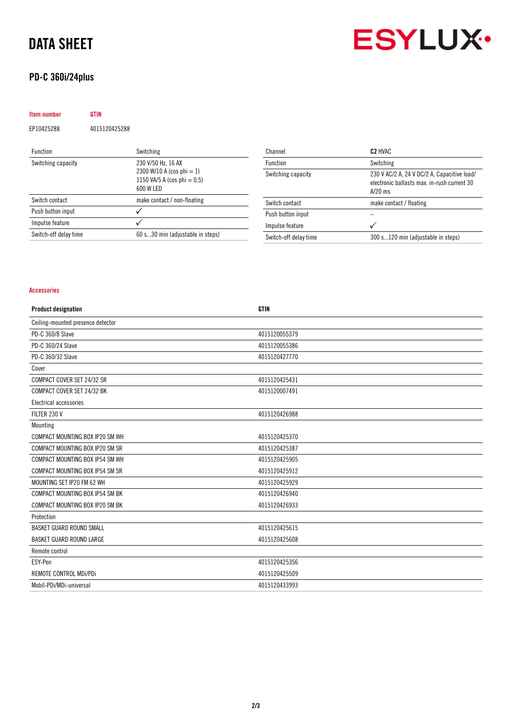# DATA SHEET

## PD-C 360i/24plus



| <b>Item number</b> | GTIN          |                                                                                                |
|--------------------|---------------|------------------------------------------------------------------------------------------------|
| EP10425288         | 4015120425288 |                                                                                                |
| <b>Function</b>    |               | Switching                                                                                      |
| Switching capacity |               | 230 V/50 Hz, 16 AX<br>2300 W/10 A (cos phi = 1)<br>1150 VA/5 A (cos phi $= 0.5$ )<br>600 W LED |
| Switch contact     |               | make contact / non-floating                                                                    |
| Push button input  |               |                                                                                                |
| Impulse feature    |               |                                                                                                |

Switch-off delay time 60 s...30 min (adjustable in steps)

| Channel               | C <sub>2</sub> HVAC                                                                                     |
|-----------------------|---------------------------------------------------------------------------------------------------------|
| <b>Function</b>       | Switching                                                                                               |
| Switching capacity    | 230 V AC/2 A, 24 V DC/2 A, Capacitive load/<br>electronic ballasts max, in-rush current 30<br>$A/20$ ms |
| Switch contact        | make contact / floating                                                                                 |
| Push button input     |                                                                                                         |
| Impulse feature       |                                                                                                         |
| Switch-off delay time | 300 s120 min (adjustable in steps)                                                                      |

#### Accessories

| <b>Product designation</b>        | <b>GTIN</b>   |
|-----------------------------------|---------------|
| Ceiling-mounted presence detector |               |
| PD-C 360/8 Slave                  | 4015120055379 |
| PD-C 360/24 Slave                 | 4015120055386 |
| PD-C 360/32 Slave                 | 4015120427770 |
| Cover                             |               |
| COMPACT COVER SET 24/32 SR        | 4015120425431 |
| COMPACT COVER SET 24/32 BK        | 4015120007491 |
| Electrical accessories            |               |
| FILTER 230 V                      | 4015120426988 |
| Mounting                          |               |
| COMPACT MOUNTING BOX IP20 SM WH   | 4015120425370 |
| COMPACT MOUNTING BOX IP20 SM SR   | 4015120425387 |
| COMPACT MOUNTING BOX IP54 SM WH   | 4015120425905 |
| COMPACT MOUNTING BOX IP54 SM SR   | 4015120425912 |
| MOUNTING SET IP20 FM 62 WH        | 4015120425929 |
| COMPACT MOUNTING BOX IP54 SM BK   | 4015120426940 |
| COMPACT MOUNTING BOX IP20 SM BK   | 4015120426933 |
| Protection                        |               |
| BASKET GUARD ROUND SMALL          | 4015120425615 |
| <b>BASKET GUARD ROUND LARGE</b>   | 4015120425608 |
| Remote control                    |               |
| ESY-Pen                           | 4015120425356 |
| REMOTE CONTROL MDi/PDi            | 4015120425509 |
| Mobil-PDi/MDi-universal           | 4015120433993 |